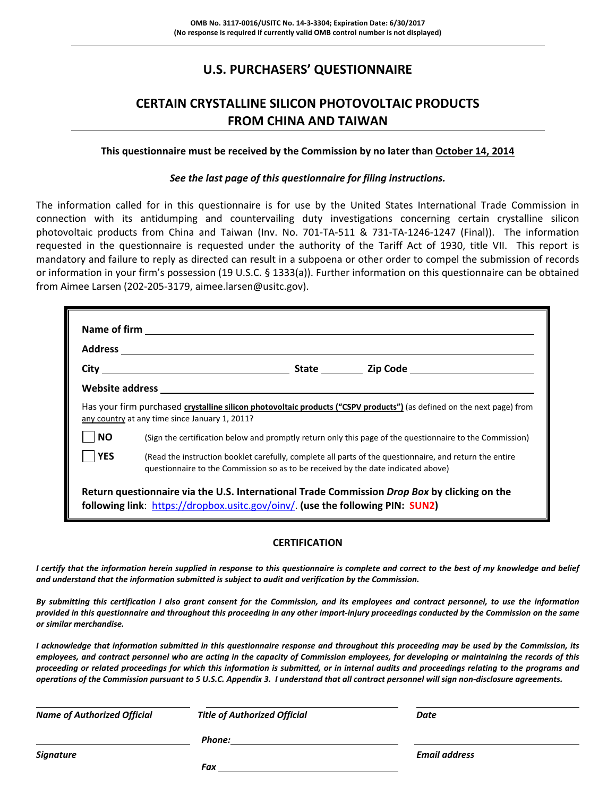# **U.S. PURCHASERS' QUESTIONNAIRE**

# **CERTAIN CRYSTALLINE SILICON PHOTOVOLTAIC PRODUCTS FROM CHINA AND TAIWAN**

#### **This questionnaire must be received by the Commission by no later than October 14, 2014**

#### *See the last page of this questionnaire for filing instructions.*

The information called for in this questionnaire is for use by the United States International Trade Commission in connection with its antidumping and countervailing duty investigations concerning certain crystalline silicon photovoltaic products from China and Taiwan (Inv. No. 701-TA-511 & 731-TA-1246-1247 (Final)). The information requested in the questionnaire is requested under the authority of the Tariff Act of 1930, title VII. This report is mandatory and failure to reply as directed can result in a subpoena or other order to compel the submission of records or information in your firm's possession (19 U.S.C. § 1333(a)). Further information on this questionnaire can be obtained from Aimee Larsen (202‐205‐3179, aimee.larsen@usitc.gov).

|                                                                                                                                                                                                     | Has your firm purchased crystalline silicon photovoltaic products ("CSPV products") (as defined on the next page) from<br>any country at any time since January 1, 2011? |  |  |  |  |
|-----------------------------------------------------------------------------------------------------------------------------------------------------------------------------------------------------|--------------------------------------------------------------------------------------------------------------------------------------------------------------------------|--|--|--|--|
| $\overline{\phantom{a}}$ NO                                                                                                                                                                         | (Sign the certification below and promptly return only this page of the questionnaire to the Commission)                                                                 |  |  |  |  |
| YES<br>(Read the instruction booklet carefully, complete all parts of the questionnaire, and return the entire<br>questionnaire to the Commission so as to be received by the date indicated above) |                                                                                                                                                                          |  |  |  |  |
| Return questionnaire via the U.S. International Trade Commission Drop Box by clicking on the<br>following link: https://dropbox.usitc.gov/oinv/. (use the following PIN: SUN2)                      |                                                                                                                                                                          |  |  |  |  |

#### **CERTIFICATION**

I certify that the information herein supplied in response to this questionnaire is complete and correct to the best of my knowledge and belief *and understand that the information submitted is subject to audit and verification by the Commission.*

By submitting this certification I also grant consent for the Commission, and its employees and contract personnel, to use the information provided in this questionnaire and throughout this proceeding in any other import-injury proceedings conducted by the Commission on the same *or similar merchandise.* 

I acknowledge that information submitted in this questionnaire response and throughout this proceeding may be used by the Commission, its employees, and contract personnel who are acting in the capacity of Commission employees, for developing or maintaining the records of this proceeding or related proceedings for which this information is submitted, or in internal audits and proceedings relating to the programs and operations of the Commission pursuant to 5 U.S.C. Appendix 3. I understand that all contract personnel will sign non-disclosure agreements.

| <b>Name of Authorized Official</b> | <b>Title of Authorized Official</b> | Date                 |
|------------------------------------|-------------------------------------|----------------------|
|                                    | Phone:                              |                      |
| Signature                          |                                     | <b>Email address</b> |
|                                    | Fax                                 |                      |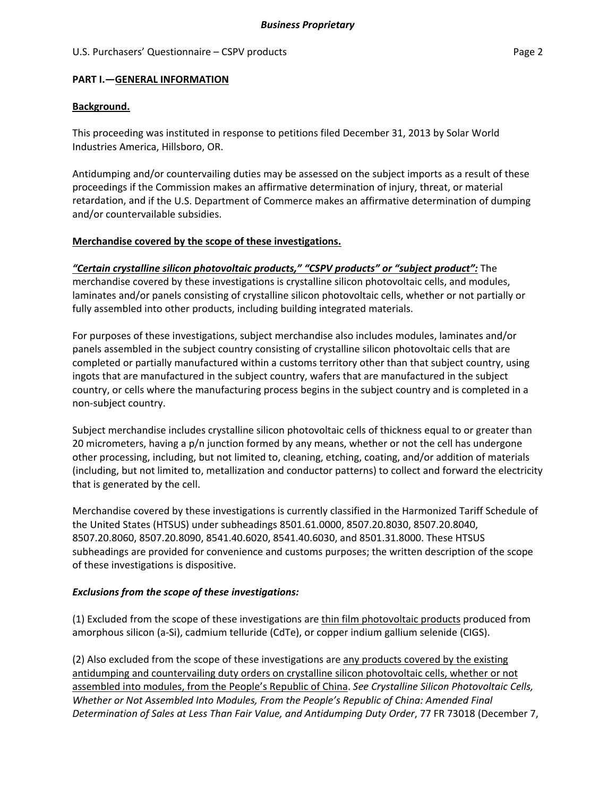#### U.S. Purchasers' Questionnaire – CSPV products **Page 2** and the extension of the Page 2

#### **PART I.—GENERAL INFORMATION**

#### **Background.**

This proceeding was instituted in response to petitions filed December 31, 2013 by Solar World Industries America, Hillsboro, OR.

Antidumping and/or countervailing duties may be assessed on the subject imports as a result of these proceedings if the Commission makes an affirmative determination of injury, threat, or material retardation, and if the U.S. Department of Commerce makes an affirmative determination of dumping and/or countervailable subsidies.

#### **Merchandise covered by the scope of these investigations.**

*"Certain crystalline silicon photovoltaic products," "CSPV products" or "subject product":* The merchandise covered by these investigations is crystalline silicon photovoltaic cells, and modules, laminates and/or panels consisting of crystalline silicon photovoltaic cells, whether or not partially or fully assembled into other products, including building integrated materials.

For purposes of these investigations, subject merchandise also includes modules, laminates and/or panels assembled in the subject country consisting of crystalline silicon photovoltaic cells that are completed or partially manufactured within a customs territory other than that subject country, using ingots that are manufactured in the subject country, wafers that are manufactured in the subject country, or cells where the manufacturing process begins in the subject country and is completed in a non‐subject country.

Subject merchandise includes crystalline silicon photovoltaic cells of thickness equal to or greater than 20 micrometers, having a p/n junction formed by any means, whether or not the cell has undergone other processing, including, but not limited to, cleaning, etching, coating, and/or addition of materials (including, but not limited to, metallization and conductor patterns) to collect and forward the electricity that is generated by the cell.

Merchandise covered by these investigations is currently classified in the Harmonized Tariff Schedule of the United States (HTSUS) under subheadings 8501.61.0000, 8507.20.8030, 8507.20.8040, 8507.20.8060, 8507.20.8090, 8541.40.6020, 8541.40.6030, and 8501.31.8000. These HTSUS subheadings are provided for convenience and customs purposes; the written description of the scope of these investigations is dispositive.

### *Exclusions from the scope of these investigations:*

(1) Excluded from the scope of these investigations are thin film photovoltaic products produced from amorphous silicon (a‐Si), cadmium telluride (CdTe), or copper indium gallium selenide (CIGS).

(2) Also excluded from the scope of these investigations are any products covered by the existing antidumping and countervailing duty orders on crystalline silicon photovoltaic cells, whether or not assembled into modules, from the People's Republic of China. *See Crystalline Silicon Photovoltaic Cells, Whether or Not Assembled Into Modules, From the People's Republic of China: Amended Final Determination of Sales at Less Than Fair Value, and Antidumping Duty Order*, 77 FR 73018 (December 7,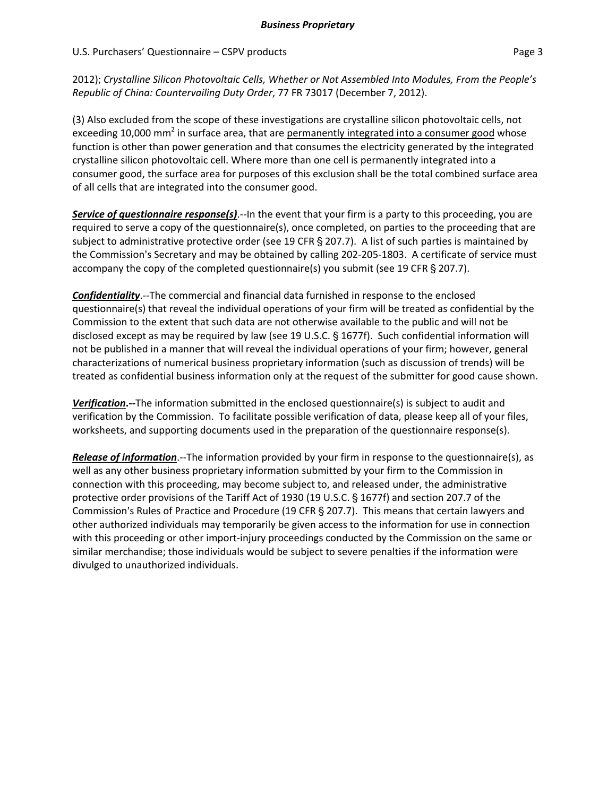2012); *Crystalline Silicon Photovoltaic Cells, Whether or Not Assembled Into Modules, From the People's Republic of China: Countervailing Duty Order*, 77 FR 73017 (December 7, 2012).

(3) Also excluded from the scope of these investigations are crystalline silicon photovoltaic cells, not exceeding 10,000 mm<sup>2</sup> in surface area, that are permanently integrated into a consumer good whose function is other than power generation and that consumes the electricity generated by the integrated crystalline silicon photovoltaic cell. Where more than one cell is permanently integrated into a consumer good, the surface area for purposes of this exclusion shall be the total combined surface area of all cells that are integrated into the consumer good.

*Service of questionnaire response(s)*.‐‐In the event that your firm is a party to this proceeding, you are required to serve a copy of the questionnaire(s), once completed, on parties to the proceeding that are subject to administrative protective order (see 19 CFR  $\S$  207.7). A list of such parties is maintained by the Commission's Secretary and may be obtained by calling 202-205-1803. A certificate of service must accompany the copy of the completed questionnaire(s) you submit (see 19 CFR  $\S$  207.7).

*Confidentiality*.‐‐The commercial and financial data furnished in response to the enclosed questionnaire(s) that reveal the individual operations of your firm will be treated as confidential by the Commission to the extent that such data are not otherwise available to the public and will not be disclosed except as may be required by law (see 19 U.S.C.  $\S$  1677f). Such confidential information will not be published in a manner that will reveal the individual operations of your firm; however, general characterizations of numerical business proprietary information (such as discussion of trends) will be treated as confidential business information only at the request of the submitter for good cause shown.

*Verification***.‐‐**The information submitted in the enclosed questionnaire(s) is subject to audit and verification by the Commission. To facilitate possible verification of data, please keep all of your files, worksheets, and supporting documents used in the preparation of the questionnaire response(s).

*Release of information*.‐‐The information provided by your firm in response to the questionnaire(s), as well as any other business proprietary information submitted by your firm to the Commission in connection with this proceeding, may become subject to, and released under, the administrative protective order provisions of the Tariff Act of 1930 (19 U.S.C. § 1677f) and section 207.7 of the Commission's Rules of Practice and Procedure (19 CFR § 207.7). This means that certain lawyers and other authorized individuals may temporarily be given access to the information for use in connection with this proceeding or other import‐injury proceedings conducted by the Commission on the same or similar merchandise; those individuals would be subject to severe penalties if the information were divulged to unauthorized individuals.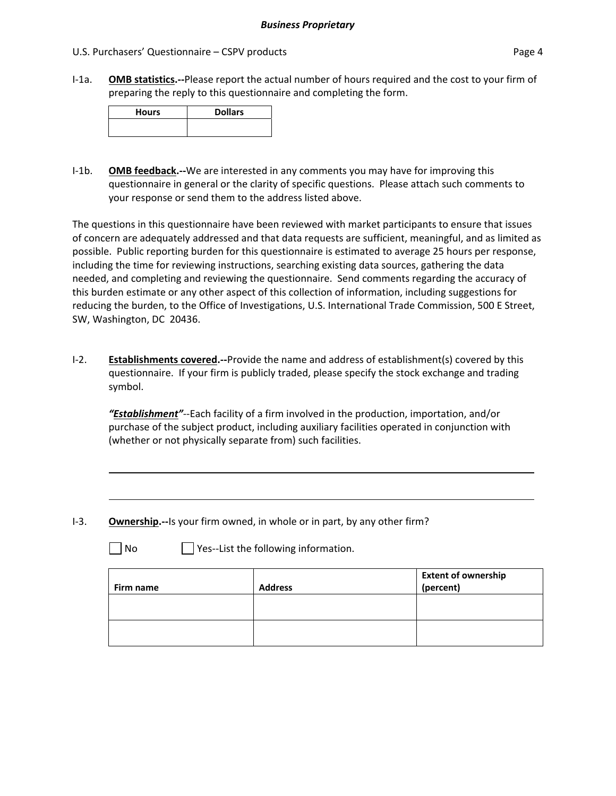I‐1a. **OMB statistics.‐‐**Please report the actual number of hours required and the cost to your firm of preparing the reply to this questionnaire and completing the form.

| <b>Hours</b> | <b>Dollars</b> |
|--------------|----------------|
|              |                |

I‐1b. **OMB feedback.‐‐**We are interested in any comments you may have for improving this questionnaire in general or the clarity of specific questions. Please attach such comments to your response or send them to the address listed above.

The questions in this questionnaire have been reviewed with market participants to ensure that issues of concern are adequately addressed and that data requests are sufficient, meaningful, and as limited as possible. Public reporting burden for this questionnaire is estimated to average 25 hours per response, including the time for reviewing instructions, searching existing data sources, gathering the data needed, and completing and reviewing the questionnaire. Send comments regarding the accuracy of this burden estimate or any other aspect of this collection of information, including suggestions for reducing the burden, to the Office of Investigations, U.S. International Trade Commission, 500 E Street, SW, Washington, DC 20436.

I‐2. **Establishments covered.‐‐**Provide the name and address of establishment(s) covered by this questionnaire. If your firm is publicly traded, please specify the stock exchange and trading symbol.

*"Establishment"*‐‐Each facility of a firm involved in the production, importation, and/or purchase of the subject product, including auxiliary facilities operated in conjunction with (whether or not physically separate from) such facilities.

I‐3. **Ownership.‐‐**Is your firm owned, in whole or in part, by any other firm?

 $\Box$  No  $\Box$  Yes--List the following information.

| Firm name | <b>Address</b> | <b>Extent of ownership</b><br>(percent) |
|-----------|----------------|-----------------------------------------|
|           |                |                                         |
|           |                |                                         |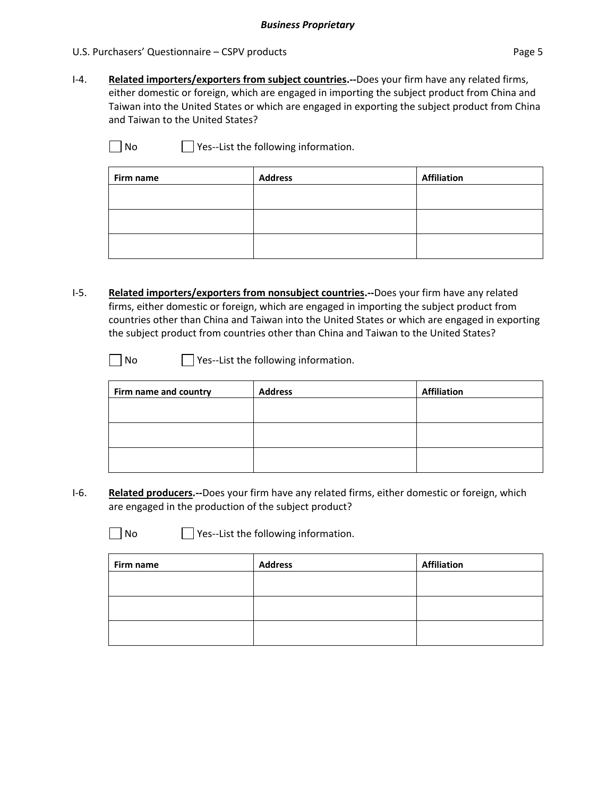I‐4. **Related importers/exporters from subject countries.‐‐**Does your firm have any related firms, either domestic or foreign, which are engaged in importing the subject product from China and Taiwan into the United States or which are engaged in exporting the subject product from China and Taiwan to the United States?

 $\Box$  No  $\Box$  Yes--List the following information.

| Firm name | <b>Address</b> | <b>Affiliation</b> |
|-----------|----------------|--------------------|
|           |                |                    |
|           |                |                    |
|           |                |                    |
|           |                |                    |

I‐5. **Related importers/exporters from nonsubject countries.‐‐**Does your firm have any related firms, either domestic or foreign, which are engaged in importing the subject product from countries other than China and Taiwan into the United States or which are engaged in exporting the subject product from countries other than China and Taiwan to the United States?

| No | Yes--List the f |
|----|-----------------|
|    |                 |

following information.

| Firm name and country | <b>Address</b> | <b>Affiliation</b> |
|-----------------------|----------------|--------------------|
|                       |                |                    |
|                       |                |                    |
|                       |                |                    |
|                       |                |                    |
|                       |                |                    |
|                       |                |                    |

I‐6. **Related producers.‐‐**Does your firm have any related firms, either domestic or foreign, which are engaged in the production of the subject product?

 $\mathbf{L}$ 

 $\Box$  No  $\Box$  Yes--List the following information.

| <b>Address</b> | <b>Affiliation</b> |
|----------------|--------------------|
|                |                    |
|                |                    |
|                |                    |
|                |                    |
|                |                    |
|                |                    |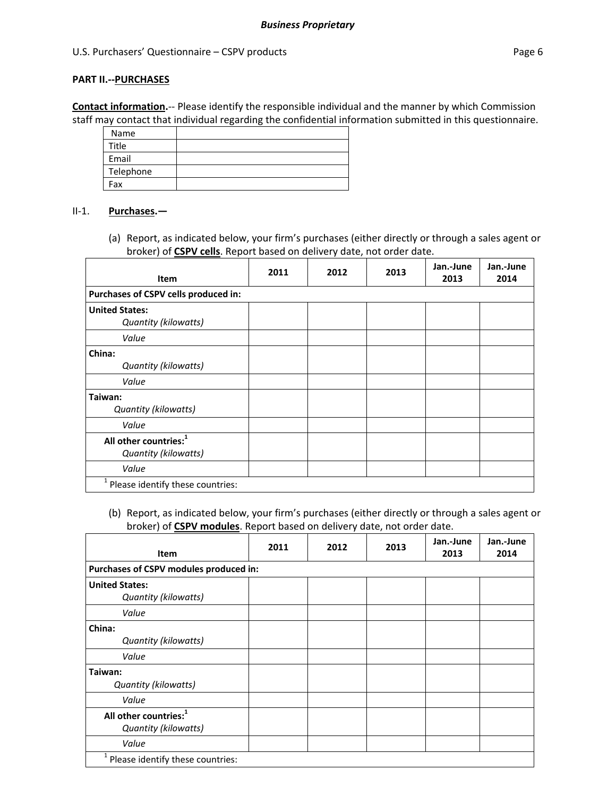#### **PART II.‐‐PURCHASES**

**Contact information.**‐‐ Please identify the responsible individual and the manner by which Commission staff may contact that individual regarding the confidential information submitted in this questionnaire.

| Name      |  |
|-----------|--|
| Title     |  |
| Email     |  |
| Telephone |  |
| Fax       |  |

#### II‐1. **Purchases.—**

(a) Report, as indicated below, your firm's purchases (either directly or through a sales agent or broker) of **CSPV cells**. Report based on delivery date, not order date.

| Item                                                      | 2011 | 2012 | 2013 | Jan.-June<br>2013 | Jan.-June<br>2014 |
|-----------------------------------------------------------|------|------|------|-------------------|-------------------|
| Purchases of CSPV cells produced in:                      |      |      |      |                   |                   |
| <b>United States:</b><br>Quantity (kilowatts)             |      |      |      |                   |                   |
| Value                                                     |      |      |      |                   |                   |
| China:<br>Quantity (kilowatts)<br>Value                   |      |      |      |                   |                   |
| Taiwan:<br>Quantity (kilowatts)                           |      |      |      |                   |                   |
| Value                                                     |      |      |      |                   |                   |
| All other countries: <sup>1</sup><br>Quantity (kilowatts) |      |      |      |                   |                   |
| Value                                                     |      |      |      |                   |                   |
| <sup>1</sup> Please identify these countries:             |      |      |      |                   |                   |

(b) Report, as indicated below, your firm's purchases (either directly or through a sales agent or broker) of **CSPV modules**. Report based on delivery date, not order date.

| <b>Item</b>                                               | 2011 | 2012 | 2013 | Jan.-June<br>2013 | Jan.-June<br>2014 |
|-----------------------------------------------------------|------|------|------|-------------------|-------------------|
| Purchases of CSPV modules produced in:                    |      |      |      |                   |                   |
| <b>United States:</b><br>Quantity (kilowatts)             |      |      |      |                   |                   |
| Value                                                     |      |      |      |                   |                   |
| China:<br>Quantity (kilowatts)<br>Value                   |      |      |      |                   |                   |
| Taiwan:<br>Quantity (kilowatts)                           |      |      |      |                   |                   |
| Value                                                     |      |      |      |                   |                   |
| All other countries: <sup>1</sup><br>Quantity (kilowatts) |      |      |      |                   |                   |
| Value                                                     |      |      |      |                   |                   |
| 1<br>Please identify these countries:                     |      |      |      |                   |                   |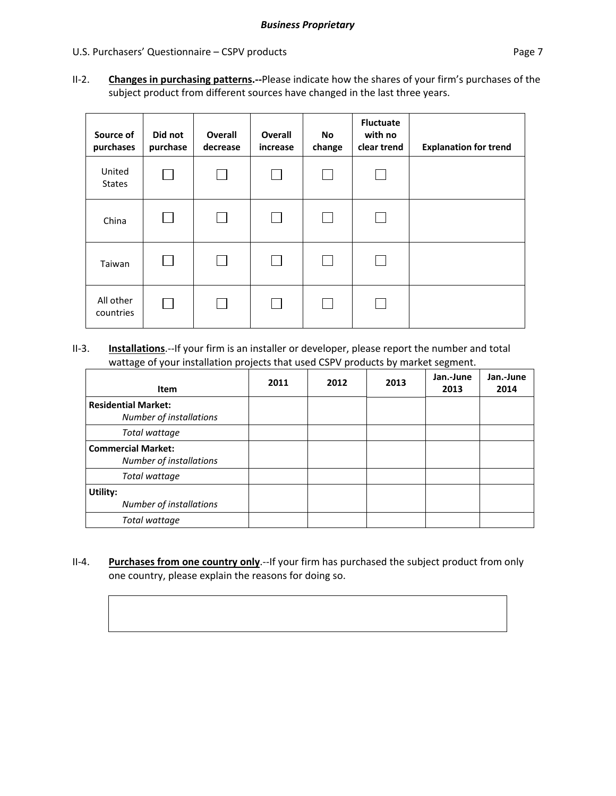#### U.S. Purchasers' Questionnaire – CSPV products extends the page 7 and 2012 and 2013

II‐2. **Changes in purchasing patterns.‐‐**Please indicate how the shares of your firm's purchases of the subject product from different sources have changed in the last three years.

| Source of<br>purchases  | Did not<br>purchase | Overall<br>decrease | <b>Overall</b><br>increase | No.<br>change | <b>Fluctuate</b><br>with no<br>clear trend | <b>Explanation for trend</b> |
|-------------------------|---------------------|---------------------|----------------------------|---------------|--------------------------------------------|------------------------------|
| United<br><b>States</b> | <b>College</b>      |                     | $\mathbf{I}$               |               | $\Box$                                     |                              |
| China                   |                     |                     |                            |               |                                            |                              |
| Taiwan                  |                     |                     | $\mathsf{L}$               |               | $\vert \ \ \vert$                          |                              |
| All other<br>countries  | $\mathsf{L}$        |                     |                            |               | $\mathbf{I}$                               |                              |

#### II‐3. **Installations**.‐‐If your firm is an installer or developer, please report the number and total wattage of your installation projects that used CSPV products by market segment.

| Item                                                  | 2011 | 2012 | 2013 | Jan.-June<br>2013 | Jan.-June<br>2014 |
|-------------------------------------------------------|------|------|------|-------------------|-------------------|
| <b>Residential Market:</b><br>Number of installations |      |      |      |                   |                   |
| Total wattage                                         |      |      |      |                   |                   |
| <b>Commercial Market:</b><br>Number of installations  |      |      |      |                   |                   |
| Total wattage                                         |      |      |      |                   |                   |
| Utility:<br>Number of installations                   |      |      |      |                   |                   |
| Total wattage                                         |      |      |      |                   |                   |

II‐4. **Purchases from one country only**.‐‐If your firm has purchased the subject product from only one country, please explain the reasons for doing so.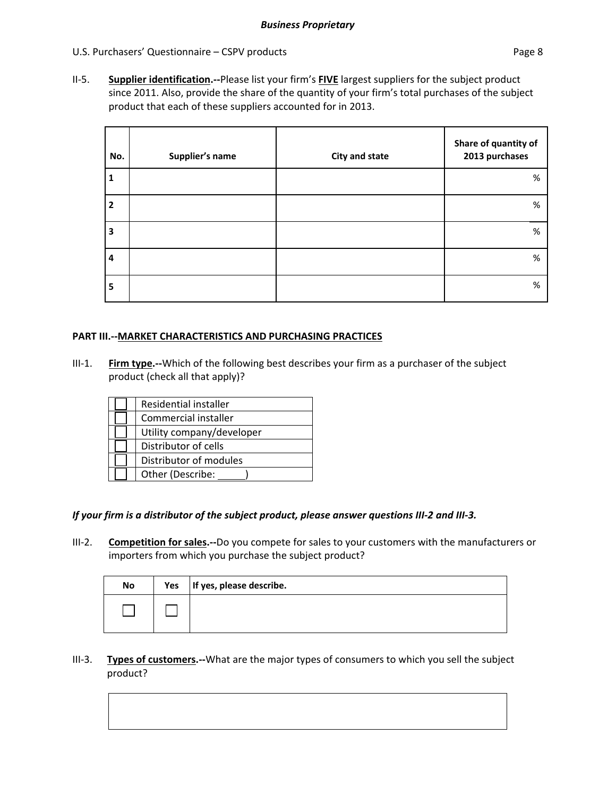II‐5. **Supplier identification.‐‐**Please list your firm's **FIVE** largest suppliers for the subject product since 2011. Also, provide the share of the quantity of your firm's total purchases of the subject product that each of these suppliers accounted for in 2013.

| No.            | Supplier's name | <b>City and state</b> | Share of quantity of<br>2013 purchases |
|----------------|-----------------|-----------------------|----------------------------------------|
| 1              |                 |                       | %                                      |
| $\overline{2}$ |                 |                       | %                                      |
| 3              |                 |                       | %                                      |
| $\overline{4}$ |                 |                       | %                                      |
| 5              |                 |                       | %                                      |

### **PART III.‐‐MARKET CHARACTERISTICS AND PURCHASING PRACTICES**

III‐1. **Firm type.‐‐**Which of the following best describes your firm as a purchaser of the subject product (check all that apply)?

| Residential installer     |
|---------------------------|
| Commercial installer      |
| Utility company/developer |
| Distributor of cells      |
| Distributor of modules    |
| Other (Describe:          |

### If your firm is a distributor of the subject product, please answer questions III-2 and III-3.

III‐2. **Competition for sales.‐‐**Do you compete for sales to your customers with the manufacturers or importers from which you purchase the subject product?

| No | Yes   If yes, please describe. |
|----|--------------------------------|
|    |                                |

III‐3. **Types of customers.‐‐**What are the major types of consumers to which you sell the subject product?

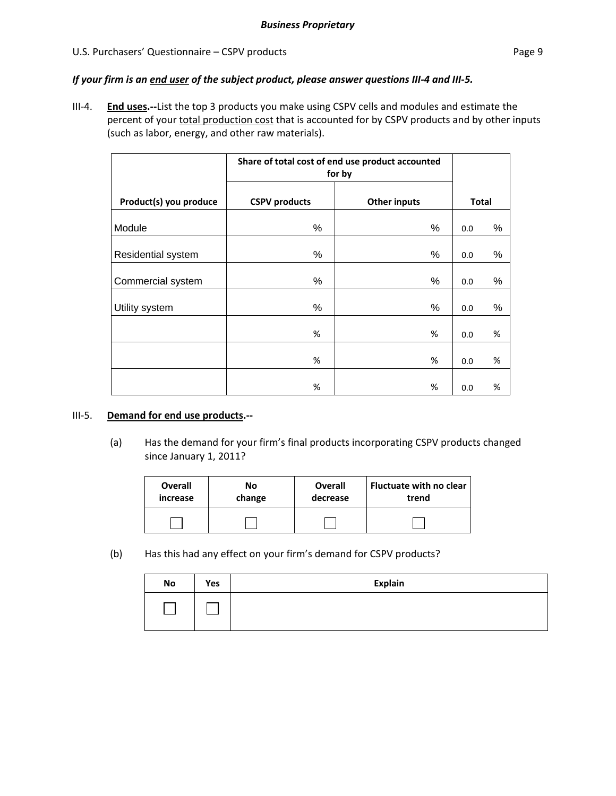#### U.S. Purchasers' Questionnaire – CSPV products extends the extendion of the Page 9

#### If your firm is an end user of the subject product, please answer questions III-4 and III-5.

III‐4. **End uses.‐‐**List the top 3 products you make using CSPV cells and modules and estimate the percent of your total production cost that is accounted for by CSPV products and by other inputs (such as labor, energy, and other raw materials).

|                        | Share of total cost of end use product accounted<br>for by |                     |              |      |
|------------------------|------------------------------------------------------------|---------------------|--------------|------|
| Product(s) you produce | <b>CSPV</b> products                                       | <b>Other inputs</b> | <b>Total</b> |      |
| Module                 | %                                                          | %                   | 0.0          | %    |
| Residential system     | $\%$                                                       | %                   | 0.0          | $\%$ |
| Commercial system      | %                                                          | %                   | 0.0          | $\%$ |
| Utility system         | %                                                          | %                   | 0.0          | $\%$ |
|                        | %                                                          | %                   | 0.0          | %    |
|                        | %                                                          | %                   | 0.0          | %    |
|                        | %                                                          | %                   | 0.0          | %    |

#### III‐5. **Demand for end use products.‐‐**

(a) Has the demand for your firm's final products incorporating CSPV products changed since January 1, 2011?

| <b>Overall</b> | No     | Overall  | <b>Fluctuate with no clear</b> |
|----------------|--------|----------|--------------------------------|
| increase       | change | decrease | trend                          |
|                |        |          |                                |

(b) Has this had any effect on your firm's demand for CSPV products?

| <b>No</b> | Yes | <b>Explain</b> |
|-----------|-----|----------------|
|           |     |                |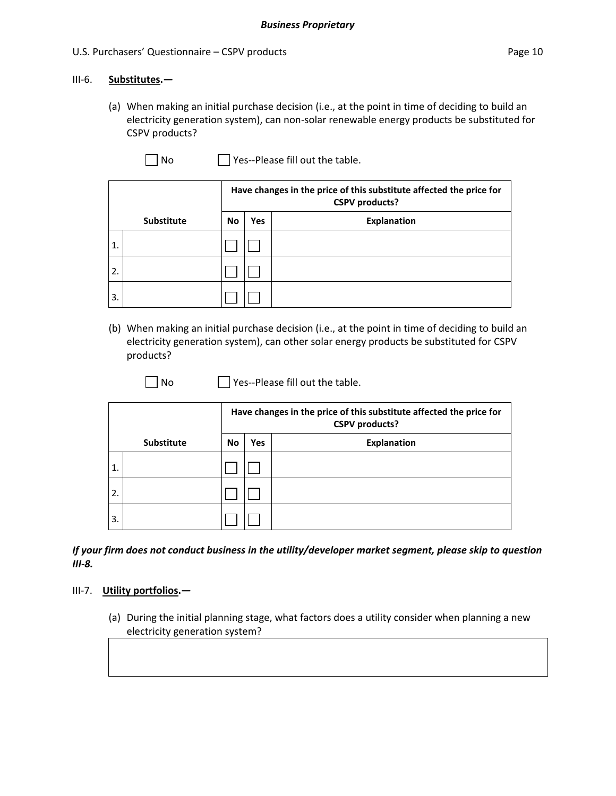#### III‐6. **Substitutes.—**

(a) When making an initial purchase decision (i.e., at the point in time of deciding to build an electricity generation system), can non‐solar renewable energy products be substituted for CSPV products?

 $\Box$  No  $\Box$  Yes--Please fill out the table.

|                  |                   | Have changes in the price of this substitute affected the price for<br><b>CSPV</b> products? |     |                    |  |  |  |
|------------------|-------------------|----------------------------------------------------------------------------------------------|-----|--------------------|--|--|--|
|                  | <b>Substitute</b> | <b>No</b>                                                                                    | Yes | <b>Explanation</b> |  |  |  |
| 11.              |                   |                                                                                              |     |                    |  |  |  |
| $\overline{2}$ . |                   |                                                                                              |     |                    |  |  |  |
| $\mathbf{3}$     |                   |                                                                                              |     |                    |  |  |  |

(b) When making an initial purchase decision (i.e., at the point in time of deciding to build an electricity generation system), can other solar energy products be substituted for CSPV products?

 $\Box$  No  $\Box$  Yes--Please fill out the table.

|                  |                   | Have changes in the price of this substitute affected the price for<br><b>CSPV</b> products? |     |                    |  |  |  |
|------------------|-------------------|----------------------------------------------------------------------------------------------|-----|--------------------|--|--|--|
|                  | <b>Substitute</b> | <b>No</b>                                                                                    | Yes | <b>Explanation</b> |  |  |  |
| ່ 1.             |                   |                                                                                              |     |                    |  |  |  |
| 2.               |                   |                                                                                              |     |                    |  |  |  |
| $\overline{3}$ . |                   |                                                                                              |     |                    |  |  |  |

*If your firm does not conduct business in the utility/developer market segment, please skip to question III‐8.*

#### III‐7. **Utility portfolios.—**

(a) During the initial planning stage, what factors does a utility consider when planning a new electricity generation system?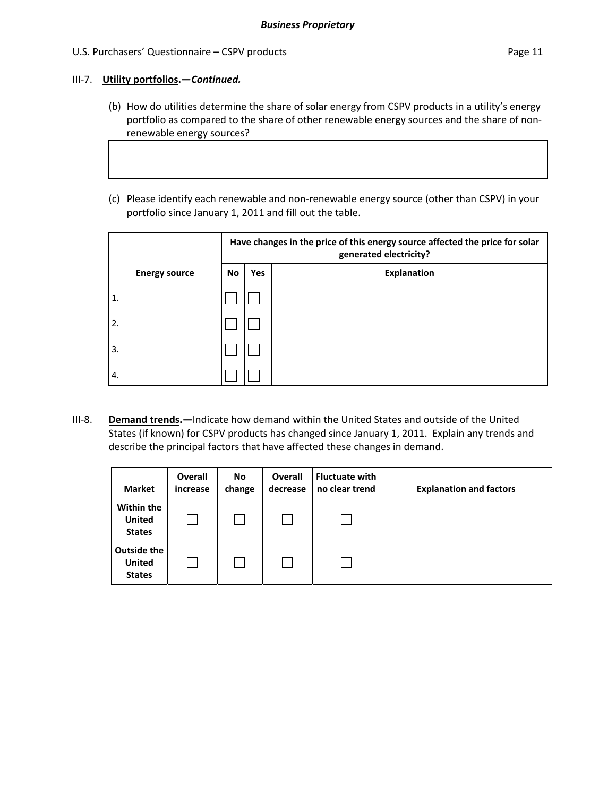#### III‐7. **Utility portfolios.—***Continued.*

- (b) How do utilities determine the share of solar energy from CSPV products in a utility's energy portfolio as compared to the share of other renewable energy sources and the share of non‐ renewable energy sources?
- (c) Please identify each renewable and non‐renewable energy source (other than CSPV) in your portfolio since January 1, 2011 and fill out the table.

|                  |                      |           | Have changes in the price of this energy source affected the price for solar<br>generated electricity? |                    |  |  |  |  |
|------------------|----------------------|-----------|--------------------------------------------------------------------------------------------------------|--------------------|--|--|--|--|
|                  | <b>Energy source</b> | <b>No</b> | <b>Yes</b>                                                                                             | <b>Explanation</b> |  |  |  |  |
| $\mathbf{1}$     |                      |           |                                                                                                        |                    |  |  |  |  |
| $\overline{2}$ . |                      |           |                                                                                                        |                    |  |  |  |  |
| 3.               |                      |           |                                                                                                        |                    |  |  |  |  |
| 4.               |                      |           |                                                                                                        |                    |  |  |  |  |

III‐8. **Demand trends.—**Indicate how demand within the United States and outside of the United States (if known) for CSPV products has changed since January 1, 2011. Explain any trends and describe the principal factors that have affected these changes in demand.

| <b>Market</b>                                        | <b>Overall</b><br>increase | No<br>change | Overall<br>decrease | <b>Fluctuate with</b><br>no clear trend | <b>Explanation and factors</b> |
|------------------------------------------------------|----------------------------|--------------|---------------------|-----------------------------------------|--------------------------------|
| Within the<br><b>United</b><br><b>States</b>         |                            |              |                     |                                         |                                |
| <b>Outside the</b><br><b>United</b><br><b>States</b> |                            |              |                     |                                         |                                |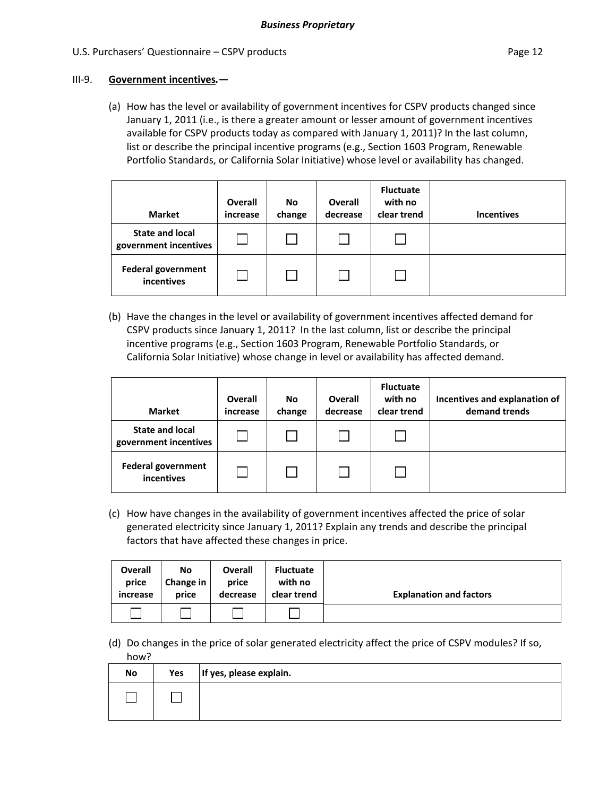#### III‐9. **Government incentives***.***—**

(a) How has the level or availability of government incentives for CSPV products changed since January 1, 2011 (i.e., is there a greater amount or lesser amount of government incentives available for CSPV products today as compared with January 1, 2011)? In the last column, list or describe the principal incentive programs (e.g., Section 1603 Program, Renewable Portfolio Standards, or California Solar Initiative) whose level or availability has changed.

| <b>Market</b>                                   | <b>Overall</b><br>increase | <b>No</b><br>change | Overall<br>decrease | <b>Fluctuate</b><br>with no<br>clear trend | <b>Incentives</b> |
|-------------------------------------------------|----------------------------|---------------------|---------------------|--------------------------------------------|-------------------|
| <b>State and local</b><br>government incentives |                            |                     |                     |                                            |                   |
| <b>Federal government</b><br>incentives         |                            |                     |                     |                                            |                   |

(b) Have the changes in the level or availability of government incentives affected demand for CSPV products since January 1, 2011? In the last column, list or describe the principal incentive programs (e.g., Section 1603 Program, Renewable Portfolio Standards, or California Solar Initiative) whose change in level or availability has affected demand.

| <b>Market</b>                                   | <b>Overall</b><br>increase | No<br>change | <b>Overall</b><br>decrease | <b>Fluctuate</b><br>with no<br>clear trend | Incentives and explanation of<br>demand trends |
|-------------------------------------------------|----------------------------|--------------|----------------------------|--------------------------------------------|------------------------------------------------|
| <b>State and local</b><br>government incentives |                            |              |                            |                                            |                                                |
| <b>Federal government</b><br>incentives         |                            |              |                            |                                            |                                                |

(c) How have changes in the availability of government incentives affected the price of solar generated electricity since January 1, 2011? Explain any trends and describe the principal factors that have affected these changes in price.

| <b>Overall</b> | No        | <b>Overall</b> | <b>Fluctuate</b> | <b>Explanation and factors</b> |
|----------------|-----------|----------------|------------------|--------------------------------|
| price          | Change in | price          | with no          |                                |
| increase       | price     | decrease       | clear trend      |                                |
|                |           |                |                  |                                |

(d) Do changes in the price of solar generated electricity affect the price of CSPV modules? If so, how?

| No | Yes | If yes, please explain. |
|----|-----|-------------------------|
|    |     |                         |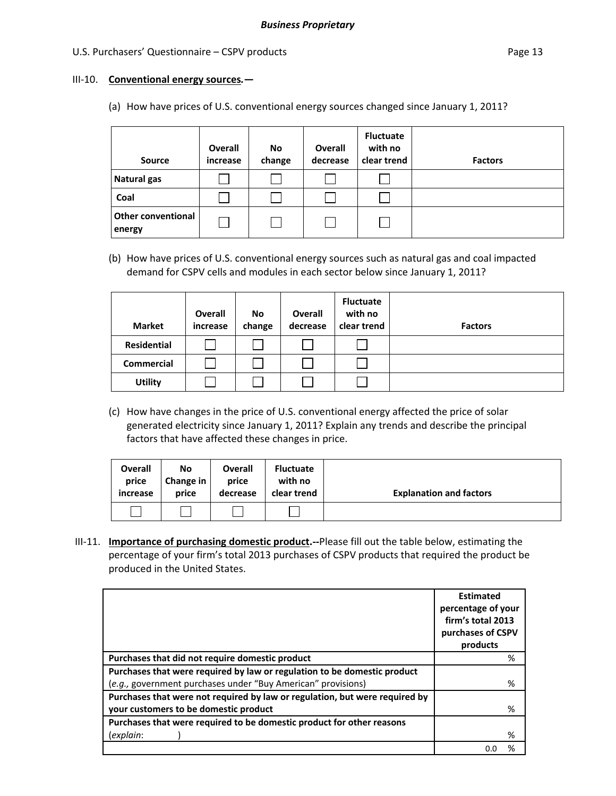#### III‐10. **Conventional energy sources***.***—**

(a) How have prices of U.S. conventional energy sources changed since January 1, 2011?

| <b>Source</b>                       | <b>Overall</b><br>increase | No<br>change | <b>Overall</b><br>decrease | <b>Fluctuate</b><br>with no<br>clear trend | <b>Factors</b> |
|-------------------------------------|----------------------------|--------------|----------------------------|--------------------------------------------|----------------|
| <b>Natural gas</b>                  |                            |              |                            |                                            |                |
| Coal                                |                            |              |                            |                                            |                |
| <b>Other conventional</b><br>energy |                            |              |                            |                                            |                |

(b) How have prices of U.S. conventional energy sources such as natural gas and coal impacted demand for CSPV cells and modules in each sector below since January 1, 2011?

| <b>Market</b>      | Overall<br>increase | No<br>change | Overall<br>decrease | <b>Fluctuate</b><br>with no<br>clear trend | <b>Factors</b> |
|--------------------|---------------------|--------------|---------------------|--------------------------------------------|----------------|
| <b>Residential</b> |                     |              |                     |                                            |                |
| <b>Commercial</b>  |                     |              |                     |                                            |                |
| <b>Utility</b>     |                     |              |                     |                                            |                |

(c) How have changes in the price of U.S. conventional energy affected the price of solar generated electricity since January 1, 2011? Explain any trends and describe the principal factors that have affected these changes in price.

| <b>Overall</b> | No        | <b>Overall</b> | <b>Fluctuate</b> | <b>Explanation and factors</b> |
|----------------|-----------|----------------|------------------|--------------------------------|
| price          | Change in | price          | with no          |                                |
| increase       | price     | decrease       | clear trend      |                                |
|                |           |                |                  |                                |

III‐11. **Importance of purchasing domestic product.‐‐**Please fill out the table below, estimating the percentage of your firm's total 2013 purchases of CSPV products that required the product be produced in the United States.

|                                                                             | <b>Estimated</b><br>percentage of your<br>firm's total 2013<br>purchases of CSPV<br>products |
|-----------------------------------------------------------------------------|----------------------------------------------------------------------------------------------|
| Purchases that did not require domestic product                             | %                                                                                            |
| Purchases that were required by law or regulation to be domestic product    |                                                                                              |
| (e.g., government purchases under "Buy American" provisions)                | %                                                                                            |
| Purchases that were not required by law or regulation, but were required by |                                                                                              |
| your customers to be domestic product                                       | %                                                                                            |
| Purchases that were required to be domestic product for other reasons       |                                                                                              |
| (explain:                                                                   | %                                                                                            |
|                                                                             | %                                                                                            |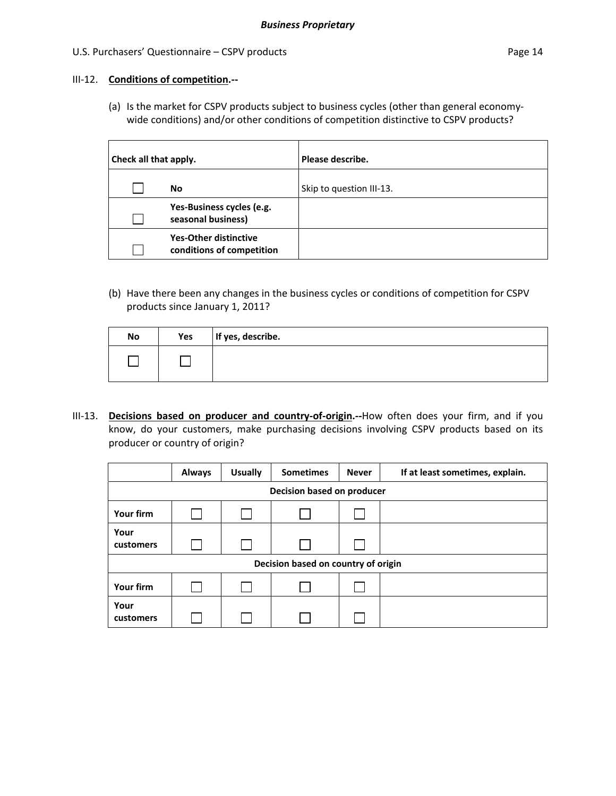#### III‐12. **Conditions of competition.‐‐**

(a) Is the market for CSPV products subject to business cycles (other than general economy‐ wide conditions) and/or other conditions of competition distinctive to CSPV products?

| Check all that apply. |                                                           | Please describe.         |
|-----------------------|-----------------------------------------------------------|--------------------------|
|                       | No                                                        | Skip to question III-13. |
|                       | Yes-Business cycles (e.g.<br>seasonal business)           |                          |
|                       | <b>Yes-Other distinctive</b><br>conditions of competition |                          |

(b) Have there been any changes in the business cycles or conditions of competition for CSPV products since January 1, 2011?

| No | Yes | If yes, describe. |
|----|-----|-------------------|
|    |     |                   |

III‐13. **Decisions based on producer and country‐of‐origin.‐‐**How often does your firm, and if you know, do your customers, make purchasing decisions involving CSPV products based on its producer or country of origin?

|                            | <b>Always</b> | <b>Usually</b> | <b>Sometimes</b>                    | <b>Never</b> | If at least sometimes, explain. |  |  |  |
|----------------------------|---------------|----------------|-------------------------------------|--------------|---------------------------------|--|--|--|
| Decision based on producer |               |                |                                     |              |                                 |  |  |  |
| Your firm                  |               |                |                                     |              |                                 |  |  |  |
| Your<br>customers          |               |                |                                     |              |                                 |  |  |  |
|                            |               |                | Decision based on country of origin |              |                                 |  |  |  |
| Your firm                  |               |                |                                     |              |                                 |  |  |  |
| Your<br>customers          |               |                |                                     |              |                                 |  |  |  |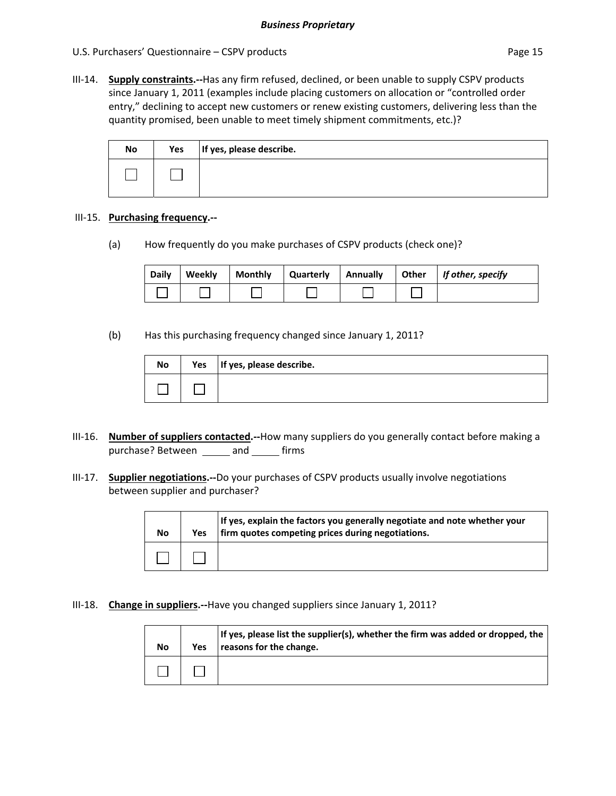III‐14. **Supply constraints.‐‐**Has any firm refused, declined, or been unable to supply CSPV products since January 1, 2011 (examples include placing customers on allocation or "controlled order entry," declining to accept new customers or renew existing customers, delivering less than the quantity promised, been unable to meet timely shipment commitments, etc.)?

| No | Yes | If yes, please describe. |
|----|-----|--------------------------|
|    |     |                          |

#### III‐15. **Purchasing frequency.‐‐**

(a) How frequently do you make purchases of CSPV products (check one)?

| <b>Daily</b> | Weekly | <b>Monthly</b> | Quarterly | Annually | <b>Other</b> | If other, specify |
|--------------|--------|----------------|-----------|----------|--------------|-------------------|
|              |        |                |           |          |              |                   |

(b) Has this purchasing frequency changed since January 1, 2011?

| No | Yes | If yes, please describe. |
|----|-----|--------------------------|
|    |     |                          |

- III‐16. **Number of suppliers contacted.‐‐**How many suppliers do you generally contact before making a purchase? Between \_\_\_\_\_ and \_\_\_\_\_ firms
- III‐17. **Supplier negotiations.‐‐**Do your purchases of CSPV products usually involve negotiations between supplier and purchaser?

| No | <b>Yes</b> | If yes, explain the factors you generally negotiate and note whether your<br>firm quotes competing prices during negotiations. |
|----|------------|--------------------------------------------------------------------------------------------------------------------------------|
|    |            |                                                                                                                                |

III‐18. **Change in suppliers.‐‐**Have you changed suppliers since January 1, 2011?

| No | Yes | If yes, please list the supplier(s), whether the firm was added or dropped, the<br>reasons for the change. |
|----|-----|------------------------------------------------------------------------------------------------------------|
|    |     |                                                                                                            |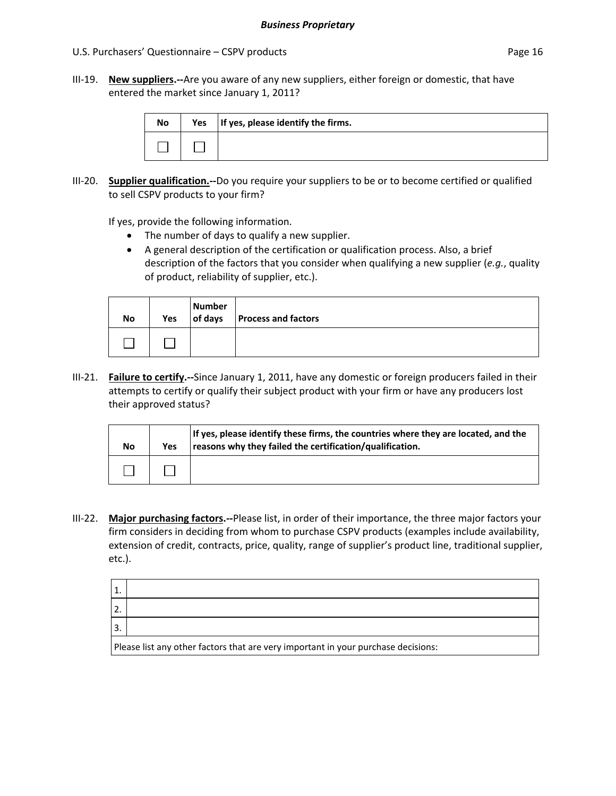III‐19. **New suppliers.‐‐**Are you aware of any new suppliers, either foreign or domestic, that have entered the market since January 1, 2011?

| <b>No</b> | Yes   If yes, please identify the firms. |
|-----------|------------------------------------------|
|           |                                          |

III‐20. **Supplier qualification.‐‐**Do you require your suppliers to be or to become certified or qualified to sell CSPV products to your firm?

If yes, provide the following information.

- The number of days to qualify a new supplier.
- A general description of the certification or qualification process. Also, a brief description of the factors that you consider when qualifying a new supplier (*e.g.*, quality of product, reliability of supplier, etc.).

| <b>No</b> | Yes | <b>Number</b><br>of days | <b>Process and factors</b> |  |
|-----------|-----|--------------------------|----------------------------|--|
|           |     |                          |                            |  |

III‐21. **Failure to certify.‐‐**Since January 1, 2011, have any domestic or foreign producers failed in their attempts to certify or qualify their subject product with your firm or have any producers lost their approved status?

| No | Yes | If yes, please identify these firms, the countries where they are located, and the<br>reasons why they failed the certification/qualification. |
|----|-----|------------------------------------------------------------------------------------------------------------------------------------------------|
|    |     |                                                                                                                                                |

III‐22. **Major purchasing factors.‐‐**Please list, in order of their importance, the three major factors your firm considers in deciding from whom to purchase CSPV products (examples include availability, extension of credit, contracts, price, quality, range of supplier's product line, traditional supplier, etc.).

| 1. |                                                                                   |
|----|-----------------------------------------------------------------------------------|
| 2. |                                                                                   |
| 3. |                                                                                   |
|    | Please list any other factors that are very important in your purchase decisions: |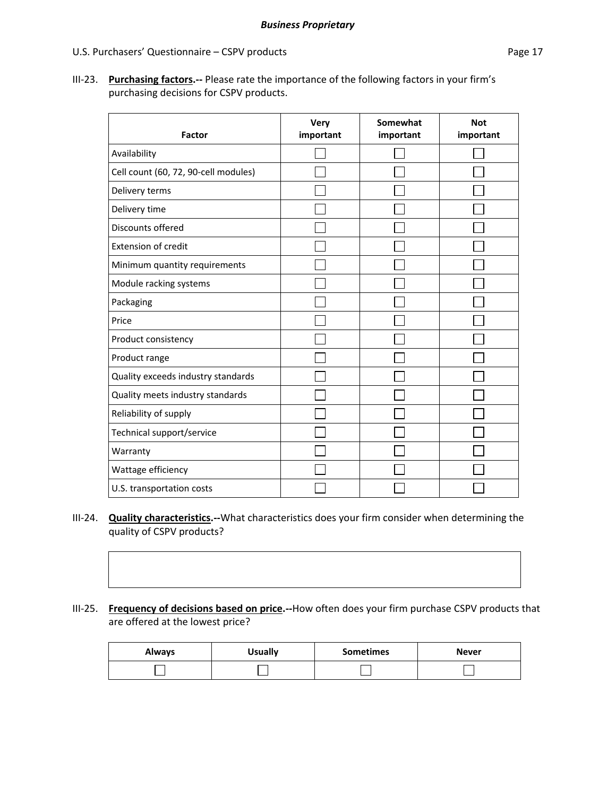#### U.S. Purchasers' Questionnaire – CSPV products extending the page 17

III‐23. **Purchasing factors.‐‐** Please rate the importance of the following factors in your firm's purchasing decisions for CSPV products.

| <b>Factor</b>                        | <b>Very</b><br>important | Somewhat<br>important | <b>Not</b><br>important |
|--------------------------------------|--------------------------|-----------------------|-------------------------|
| Availability                         |                          |                       |                         |
| Cell count (60, 72, 90-cell modules) |                          |                       |                         |
| Delivery terms                       |                          |                       |                         |
| Delivery time                        |                          |                       |                         |
| Discounts offered                    |                          |                       |                         |
| <b>Extension of credit</b>           |                          |                       |                         |
| Minimum quantity requirements        |                          |                       |                         |
| Module racking systems               |                          |                       |                         |
| Packaging                            |                          |                       |                         |
| Price                                |                          |                       |                         |
| Product consistency                  |                          |                       |                         |
| Product range                        |                          |                       |                         |
| Quality exceeds industry standards   |                          |                       |                         |
| Quality meets industry standards     |                          |                       |                         |
| Reliability of supply                |                          |                       |                         |
| Technical support/service            |                          |                       |                         |
| Warranty                             |                          |                       |                         |
| Wattage efficiency                   |                          |                       |                         |
| U.S. transportation costs            |                          |                       |                         |

- III‐24. **Quality characteristics.‐‐**What characteristics does your firm consider when determining the quality of CSPV products?
- III‐25. **Frequency of decisions based on price.‐‐**How often does your firm purchase CSPV products that are offered at the lowest price?

| <b>Always</b> | <b>Usually</b> | <b>Sometimes</b> | <b>Never</b> |
|---------------|----------------|------------------|--------------|
|               |                |                  |              |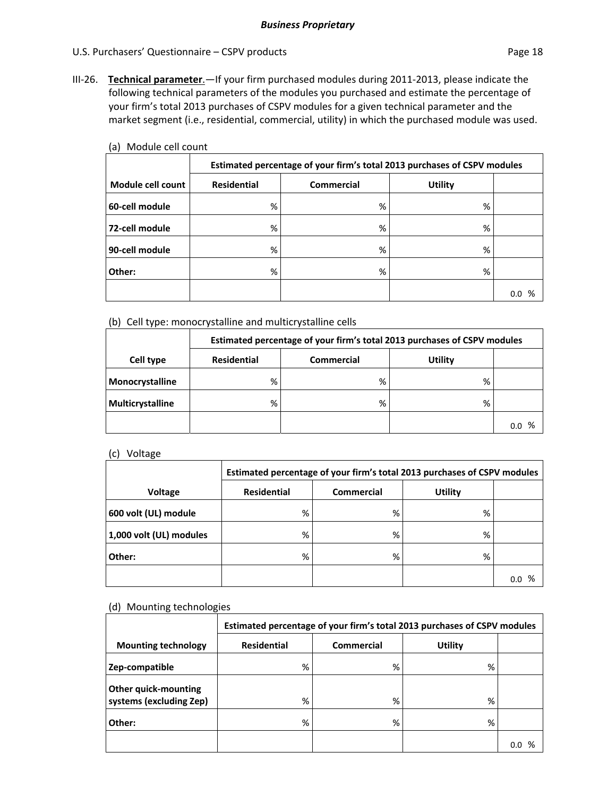III‐26. **Technical parameter**.—If your firm purchased modules during 2011‐2013, please indicate the following technical parameters of the modules you purchased and estimate the percentage of your firm's total 2013 purchases of CSPV modules for a given technical parameter and the market segment (i.e., residential, commercial, utility) in which the purchased module was used.

| <b>10) INDUCTE CETT COUTL</b> |                                                                          |                   |                |          |  |  |
|-------------------------------|--------------------------------------------------------------------------|-------------------|----------------|----------|--|--|
|                               | Estimated percentage of your firm's total 2013 purchases of CSPV modules |                   |                |          |  |  |
| Module cell count             | <b>Residential</b>                                                       | <b>Commercial</b> | <b>Utility</b> |          |  |  |
| 60-cell module                | %                                                                        | %                 | %              |          |  |  |
| 72-cell module                | %                                                                        | %                 | %              |          |  |  |
| 90-cell module                | %                                                                        | %                 | %              |          |  |  |
| Other:                        | %                                                                        | %                 | %              |          |  |  |
|                               |                                                                          |                   |                | ℅<br>0.0 |  |  |

(a) Module cell count

(b) Cell type: monocrystalline and multicrystalline cells

|                  | Estimated percentage of your firm's total 2013 purchases of CSPV modules |   |   |          |  |
|------------------|--------------------------------------------------------------------------|---|---|----------|--|
| Cell type        | <b>Residential</b><br><b>Utility</b><br><b>Commercial</b>                |   |   |          |  |
| Monocrystalline  | %                                                                        | % | % |          |  |
| Multicrystalline | %                                                                        | % | % |          |  |
|                  |                                                                          |   |   | %<br>0.0 |  |

(c) Voltage

|                         | Estimated percentage of your firm's total 2013 purchases of CSPV modules |                   |                |          |  |  |
|-------------------------|--------------------------------------------------------------------------|-------------------|----------------|----------|--|--|
| Voltage                 | <b>Residential</b>                                                       | <b>Commercial</b> | <b>Utility</b> |          |  |  |
| 600 volt (UL) module    | %                                                                        | %                 | %              |          |  |  |
| 1,000 volt (UL) modules | %                                                                        | %                 | %              |          |  |  |
| Other:                  | %                                                                        | %                 | %              |          |  |  |
|                         |                                                                          |                   |                | %<br>0.0 |  |  |

#### (d) Mounting technologies

|                                                 | Estimated percentage of your firm's total 2013 purchases of CSPV modules |                   |         |     |  |  |  |  |  |
|-------------------------------------------------|--------------------------------------------------------------------------|-------------------|---------|-----|--|--|--|--|--|
| <b>Mounting technology</b>                      | <b>Residential</b>                                                       | <b>Commercial</b> | Utility |     |  |  |  |  |  |
| Zep-compatible                                  | %                                                                        | %                 | %       |     |  |  |  |  |  |
| Other quick-mounting<br>systems (excluding Zep) | %                                                                        | %                 | %       |     |  |  |  |  |  |
| Other:                                          | %                                                                        | %                 | %       |     |  |  |  |  |  |
|                                                 |                                                                          |                   |         | 0.O |  |  |  |  |  |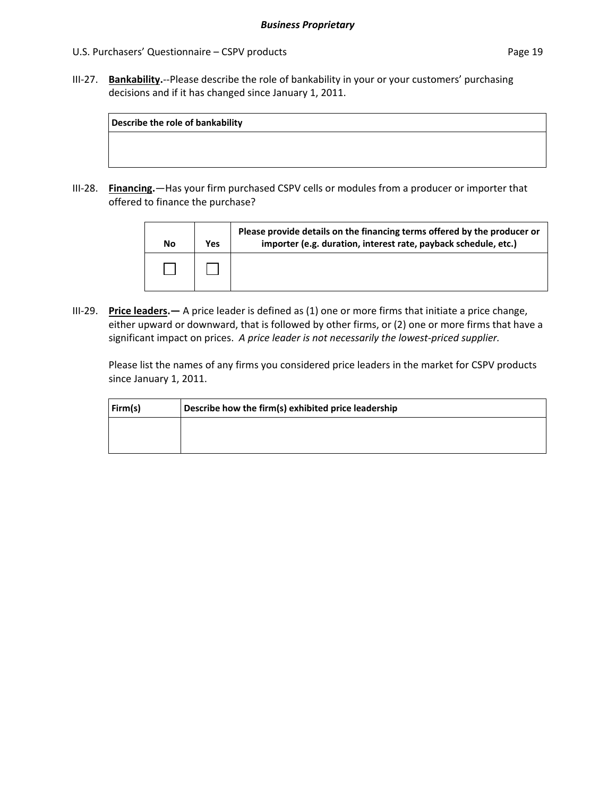III-27. **Bankability.**--Please describe the role of bankability in your or your customers' purchasing decisions and if it has changed since January 1, 2011.

| Describe the role of bankability |  |  |
|----------------------------------|--|--|
|                                  |  |  |
|                                  |  |  |

III-28. **Financing.**—Has your firm purchased CSPV cells or modules from a producer or importer that offered to finance the purchase?

| No | Yes | Please provide details on the financing terms offered by the producer or<br>importer (e.g. duration, interest rate, payback schedule, etc.) |
|----|-----|---------------------------------------------------------------------------------------------------------------------------------------------|
|    |     |                                                                                                                                             |

III‐29. **Price leaders.—** A price leader is defined as (1) one or more firms that initiate a price change, either upward or downward, that is followed by other firms, or (2) one or more firms that have a significant impact on prices. *A price leader is not necessarily the lowest‐priced supplier.*

Please list the names of any firms you considered price leaders in the market for CSPV products since January 1, 2011.

| Firm(s) | Describe how the firm(s) exhibited price leadership |
|---------|-----------------------------------------------------|
|         |                                                     |
|         |                                                     |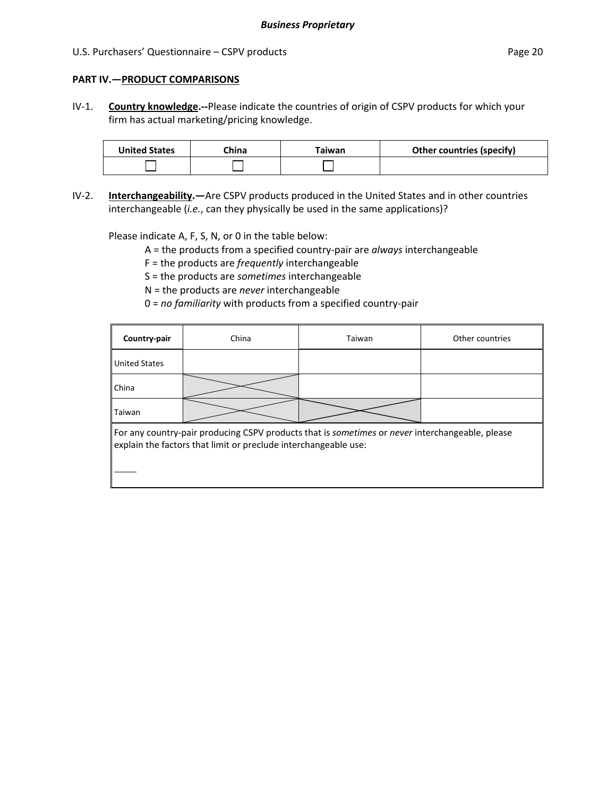#### **PART IV.—PRODUCT COMPARISONS**

IV‐1. **Country knowledge.‐‐**Please indicate the countries of origin of CSPV products for which your firm has actual marketing/pricing knowledge.

| <b>United States</b> | <b>∩hina</b> | 「aiwan | <b>Other countries (specify)</b> |
|----------------------|--------------|--------|----------------------------------|
|                      |              |        |                                  |

IV‐2. **Interchangeability.—**Are CSPV products produced in the United States and in other countries interchangeable (*i.e.*, can they physically be used in the same applications)?

Please indicate A, F, S, N, or 0 in the table below:

- A = the products from a specified country‐pair are *always* interchangeable
- F = the products are *frequently* interchangeable
- S = the products are *sometimes* interchangeable
- N = the products are *never* interchangeable
- 0 = *no familiarity* with products from a specified country‐pair

| Country-pair         | China                                                           | Taiwan                                                                                          | Other countries |
|----------------------|-----------------------------------------------------------------|-------------------------------------------------------------------------------------------------|-----------------|
| <b>United States</b> |                                                                 |                                                                                                 |                 |
| China                |                                                                 |                                                                                                 |                 |
| Taiwan               |                                                                 |                                                                                                 |                 |
|                      | explain the factors that limit or preclude interchangeable use: | For any country-pair producing CSPV products that is sometimes or never interchangeable, please |                 |
|                      |                                                                 |                                                                                                 |                 |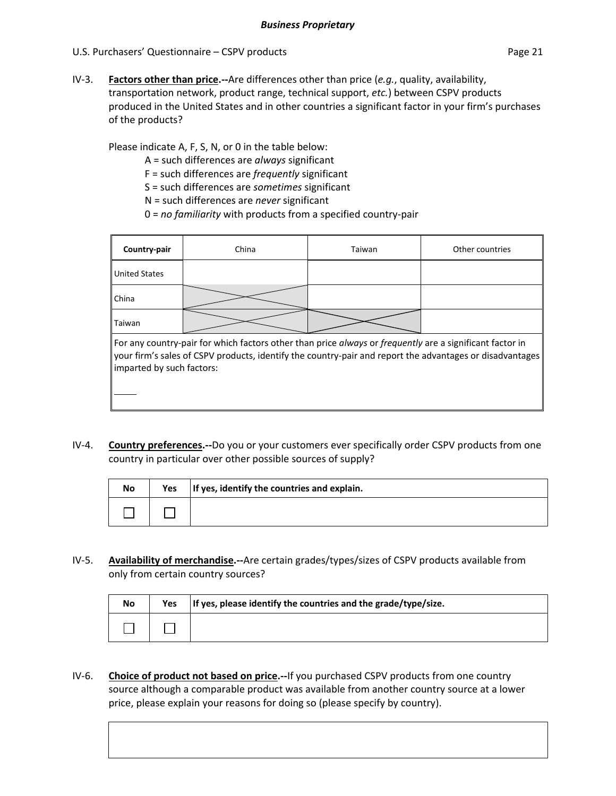IV‐3. **Factors other than price.‐‐**Are differences other than price (*e.g.*, quality, availability, transportation network, product range, technical support, *etc.*) between CSPV products produced in the United States and in other countries a significant factor in your firm's purchases of the products?

Please indicate A, F, S, N, or 0 in the table below:

A = such differences are *always* significant

F = such differences are *frequently* significant

S = such differences are *sometimes* significant

N = such differences are *never* significant

0 = *no familiarity* with products from a specified country‐pair

| Country-pair                                                                                                                                                                                                                                      | China | Taiwan | Other countries |  |  |  |  |  |
|---------------------------------------------------------------------------------------------------------------------------------------------------------------------------------------------------------------------------------------------------|-------|--------|-----------------|--|--|--|--|--|
| <b>United States</b>                                                                                                                                                                                                                              |       |        |                 |  |  |  |  |  |
| China                                                                                                                                                                                                                                             |       |        |                 |  |  |  |  |  |
| Taiwan                                                                                                                                                                                                                                            |       |        |                 |  |  |  |  |  |
| For any country-pair for which factors other than price always or frequently are a significant factor in<br>your firm's sales of CSPV products, identify the country-pair and report the advantages or disadvantages<br>imparted by such factors: |       |        |                 |  |  |  |  |  |
|                                                                                                                                                                                                                                                   |       |        |                 |  |  |  |  |  |

IV‐4. **Country preferences.‐‐**Do you or your customers ever specifically order CSPV products from one country in particular over other possible sources of supply?

| No | Yes | If yes, identify the countries and explain. |
|----|-----|---------------------------------------------|
|    |     |                                             |

IV‐5. **Availability of merchandise.‐‐**Are certain grades/types/sizes of CSPV products available from only from certain country sources?

| No | <b>Yes</b> | If yes, please identify the countries and the grade/type/size. |
|----|------------|----------------------------------------------------------------|
|    |            |                                                                |

IV‐6. **Choice of product not based on price.‐‐**If you purchased CSPV products from one country source although a comparable product was available from another country source at a lower price, please explain your reasons for doing so (please specify by country).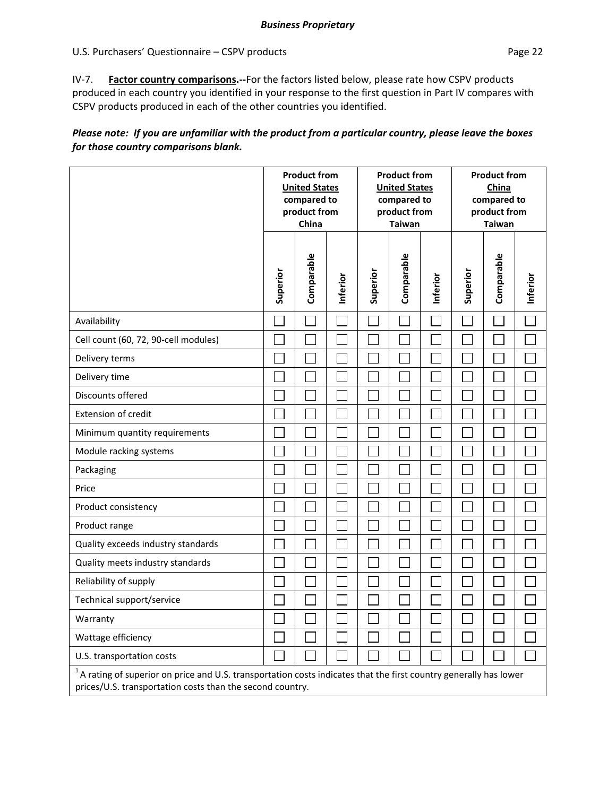### U.S. Purchasers' Questionnaire – CSPV products extends the extendio page 22 Page 22

IV‐7. **Factor country comparisons.‐‐**For the factors listed below, please rate how CSPV products produced in each country you identified in your response to the first question in Part IV compares with CSPV products produced in each of the other countries you identified.

### Please note: If you are unfamiliar with the product from a particular country, please leave the boxes *for those country comparisons blank.*

|                                                                                                                                                                                  | <b>Product from</b><br><b>United States</b><br>compared to<br>product from<br>China |            |          | <b>Product from</b><br><b>United States</b><br>compared to<br>product from<br><b>Taiwan</b> |            |          | <b>Product from</b><br>China<br>compared to<br>product from<br><b>Taiwan</b> |            |          |
|----------------------------------------------------------------------------------------------------------------------------------------------------------------------------------|-------------------------------------------------------------------------------------|------------|----------|---------------------------------------------------------------------------------------------|------------|----------|------------------------------------------------------------------------------|------------|----------|
|                                                                                                                                                                                  | Superior                                                                            | Comparable | Inferior | Superior                                                                                    | Comparable | Inferior | Superior                                                                     | Comparable | Inferior |
| Availability                                                                                                                                                                     |                                                                                     |            |          |                                                                                             |            |          |                                                                              |            |          |
| Cell count (60, 72, 90-cell modules)                                                                                                                                             |                                                                                     |            |          |                                                                                             |            |          |                                                                              |            |          |
| Delivery terms                                                                                                                                                                   |                                                                                     |            |          |                                                                                             |            |          |                                                                              |            |          |
| Delivery time                                                                                                                                                                    |                                                                                     |            |          |                                                                                             |            |          |                                                                              |            |          |
| Discounts offered                                                                                                                                                                |                                                                                     |            |          |                                                                                             |            |          |                                                                              |            |          |
| Extension of credit                                                                                                                                                              |                                                                                     |            |          |                                                                                             |            |          |                                                                              |            |          |
| Minimum quantity requirements                                                                                                                                                    |                                                                                     |            |          |                                                                                             |            |          |                                                                              |            |          |
| Module racking systems                                                                                                                                                           |                                                                                     |            |          |                                                                                             |            |          |                                                                              |            |          |
| Packaging                                                                                                                                                                        |                                                                                     |            |          |                                                                                             |            |          |                                                                              |            |          |
| Price                                                                                                                                                                            |                                                                                     |            |          |                                                                                             |            |          |                                                                              |            |          |
| Product consistency                                                                                                                                                              |                                                                                     |            |          |                                                                                             |            |          |                                                                              |            |          |
| Product range                                                                                                                                                                    |                                                                                     |            |          |                                                                                             |            |          |                                                                              |            |          |
| Quality exceeds industry standards                                                                                                                                               |                                                                                     |            |          |                                                                                             |            |          |                                                                              |            |          |
| Quality meets industry standards                                                                                                                                                 |                                                                                     |            |          |                                                                                             |            |          |                                                                              |            |          |
| Reliability of supply                                                                                                                                                            |                                                                                     |            |          |                                                                                             |            |          |                                                                              |            |          |
| Technical support/service                                                                                                                                                        |                                                                                     |            |          |                                                                                             |            |          |                                                                              |            |          |
| Warranty                                                                                                                                                                         |                                                                                     |            |          |                                                                                             |            |          |                                                                              |            |          |
| Wattage efficiency                                                                                                                                                               |                                                                                     |            |          |                                                                                             |            |          |                                                                              |            |          |
| U.S. transportation costs                                                                                                                                                        |                                                                                     |            |          |                                                                                             |            |          |                                                                              |            |          |
| $1A$ rating of superior on price and U.S. transportation costs indicates that the first country generally has lower<br>prices/U.S. transportation costs than the second country. |                                                                                     |            |          |                                                                                             |            |          |                                                                              |            |          |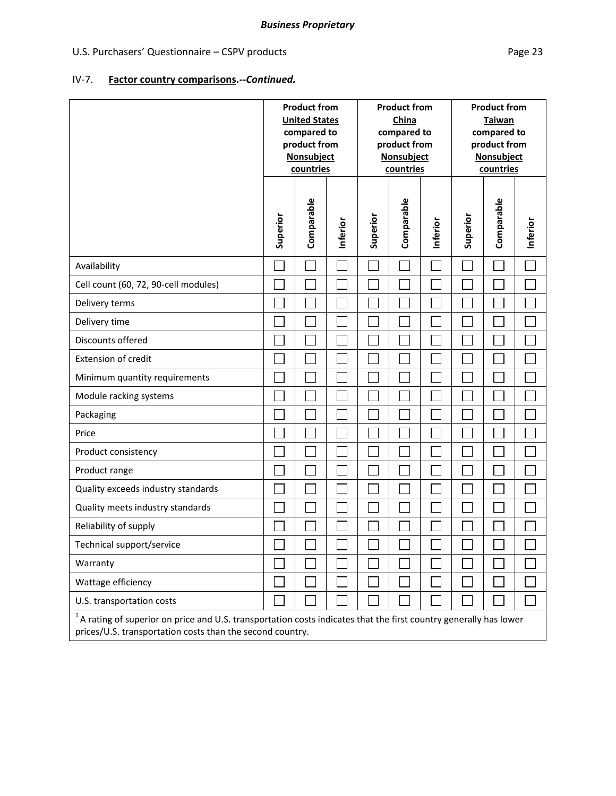#### *Business Proprietary*

# U.S. Purchasers' Questionnaire – CSPV products extends the extendio page 23 Page 23

# IV‐7. **Factor country comparisons.‐‐***Continued.*

|                                                                                                                                                                                   | <b>Product from</b><br><b>United States</b><br>compared to<br>product from<br>Nonsubject<br>countries |            |          |          | <b>Product from</b><br>China<br>compared to<br>product from<br>Nonsubject<br>countries |          | <b>Product from</b><br><b>Taiwan</b><br>compared to<br>product from<br>Nonsubject<br>countries |            |          |
|-----------------------------------------------------------------------------------------------------------------------------------------------------------------------------------|-------------------------------------------------------------------------------------------------------|------------|----------|----------|----------------------------------------------------------------------------------------|----------|------------------------------------------------------------------------------------------------|------------|----------|
|                                                                                                                                                                                   | Superior                                                                                              | Comparable | Inferior | Superior | Comparable                                                                             | Inferior | Superior                                                                                       | Comparable | Inferior |
| Availability                                                                                                                                                                      |                                                                                                       |            |          |          |                                                                                        |          |                                                                                                |            |          |
| Cell count (60, 72, 90-cell modules)                                                                                                                                              |                                                                                                       |            |          |          |                                                                                        |          |                                                                                                |            |          |
| Delivery terms                                                                                                                                                                    |                                                                                                       |            |          |          |                                                                                        |          |                                                                                                |            |          |
| Delivery time                                                                                                                                                                     |                                                                                                       |            |          |          |                                                                                        |          |                                                                                                |            |          |
| Discounts offered                                                                                                                                                                 |                                                                                                       |            |          |          |                                                                                        |          |                                                                                                |            |          |
| Extension of credit                                                                                                                                                               |                                                                                                       |            |          |          |                                                                                        |          |                                                                                                |            |          |
| Minimum quantity requirements                                                                                                                                                     |                                                                                                       |            |          |          |                                                                                        |          |                                                                                                |            |          |
| Module racking systems                                                                                                                                                            |                                                                                                       |            |          |          |                                                                                        |          |                                                                                                |            |          |
| Packaging                                                                                                                                                                         |                                                                                                       |            |          |          |                                                                                        |          |                                                                                                |            |          |
| Price                                                                                                                                                                             |                                                                                                       |            |          |          |                                                                                        |          |                                                                                                |            |          |
| Product consistency                                                                                                                                                               |                                                                                                       |            |          |          |                                                                                        |          |                                                                                                |            |          |
| Product range                                                                                                                                                                     |                                                                                                       |            |          |          |                                                                                        |          |                                                                                                |            |          |
| Quality exceeds industry standards                                                                                                                                                |                                                                                                       |            |          |          |                                                                                        |          |                                                                                                |            |          |
| Quality meets industry standards                                                                                                                                                  |                                                                                                       |            |          |          |                                                                                        |          |                                                                                                |            |          |
| Reliability of supply                                                                                                                                                             |                                                                                                       |            |          |          |                                                                                        |          |                                                                                                |            |          |
| Technical support/service                                                                                                                                                         |                                                                                                       |            |          |          |                                                                                        |          |                                                                                                |            |          |
| Warranty                                                                                                                                                                          |                                                                                                       |            |          |          |                                                                                        |          |                                                                                                |            |          |
| Wattage efficiency                                                                                                                                                                |                                                                                                       |            |          |          |                                                                                        |          |                                                                                                |            |          |
| U.S. transportation costs                                                                                                                                                         |                                                                                                       |            |          |          |                                                                                        |          |                                                                                                |            |          |
| $1$ A rating of superior on price and U.S. transportation costs indicates that the first country generally has lower<br>prices/U.S. transportation costs than the second country. |                                                                                                       |            |          |          |                                                                                        |          |                                                                                                |            |          |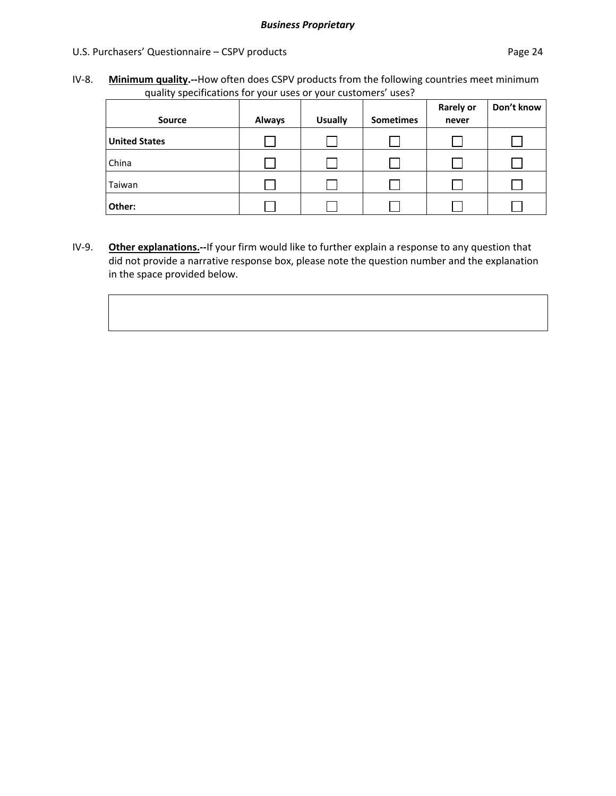#### U.S. Purchasers' Questionnaire – CSPV products extends the page 24 million of the Page 24

IV‐8. **Minimum quality.‐‐**How often does CSPV products from the following countries meet minimum quality specifications for your uses or your customers' uses?

| <b>Source</b>        | <b>Always</b> | <b>Usually</b> | <b>Sometimes</b> | <b>Rarely or</b><br>never | Don't know |
|----------------------|---------------|----------------|------------------|---------------------------|------------|
| <b>United States</b> |               |                |                  |                           |            |
| China                |               |                |                  |                           |            |
| Taiwan               |               |                |                  |                           |            |
| Other:               |               |                |                  |                           |            |

IV‐9. **Other explanations.‐‐**If your firm would like to further explain a response to any question that did not provide a narrative response box, please note the question number and the explanation in the space provided below.